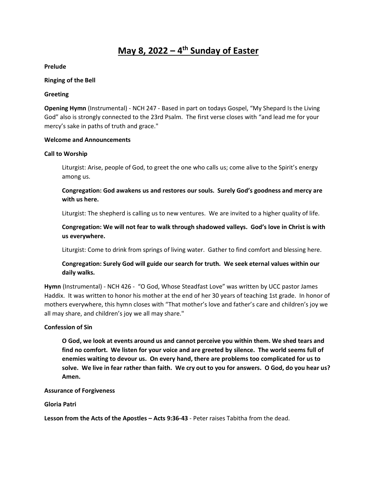# **May 8, 2022 – 4 th Sunday of Easter**

**Prelude**

#### **Ringing of the Bell**

#### **Greeting**

**Opening Hymn** (Instrumental) - NCH 247 - Based in part on todays Gospel, "My Shepard Is the Living God" also is strongly connected to the 23rd Psalm. The first verse closes with "and lead me for your mercy's sake in paths of truth and grace."

#### **Welcome and Announcements**

#### **Call to Worship**

Liturgist: Arise, people of God, to greet the one who calls us; come alive to the Spirit's energy among us.

**Congregation: God awakens us and restores our souls. Surely God's goodness and mercy are with us here.**

Liturgist: The shepherd is calling us to new ventures. We are invited to a higher quality of life.

**Congregation: We will not fear to walk through shadowed valleys. God's love in Christ is with us everywhere.** 

Liturgist: Come to drink from springs of living water. Gather to find comfort and blessing here.

# **Congregation: Surely God will guide our search for truth. We seek eternal values within our daily walks.**

**Hymn** (Instrumental) - NCH 426 - "O God, Whose Steadfast Love" was written by UCC pastor James Haddix. It was written to honor his mother at the end of her 30 years of teaching 1st grade. In honor of mothers everywhere, this hymn closes with "That mother's love and father's care and children's joy we all may share, and children's joy we all may share."

## **Confession of Sin**

**O God, we look at events around us and cannot perceive you within them. We shed tears and find no comfort. We listen for your voice and are greeted by silence. The world seems full of enemies waiting to devour us. On every hand, there are problems too complicated for us to solve. We live in fear rather than faith. We cry out to you for answers. O God, do you hear us? Amen.** 

#### **Assurance of Forgiveness**

# **Gloria Patri**

**Lesson from the Acts of the Apostles – Acts 9:36-43** - Peter raises Tabitha from the dead.